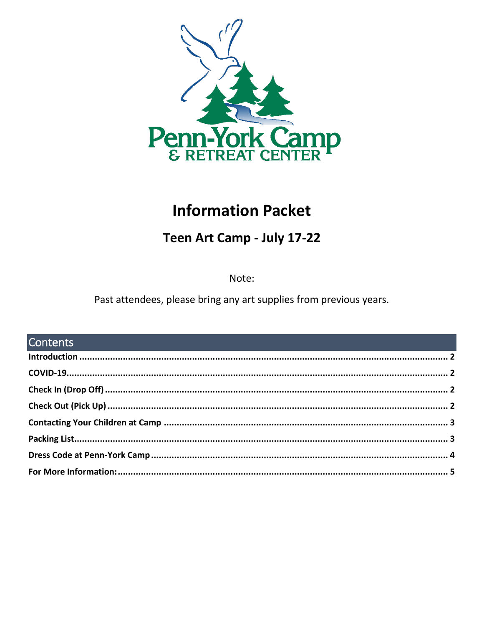

# **Information Packet**

# Teen Art Camp - July 17-22

Note:

Past attendees, please bring any art supplies from previous years.

| <b>Contents Contents</b> |  |
|--------------------------|--|
|                          |  |
|                          |  |
|                          |  |
|                          |  |
|                          |  |
|                          |  |
|                          |  |
|                          |  |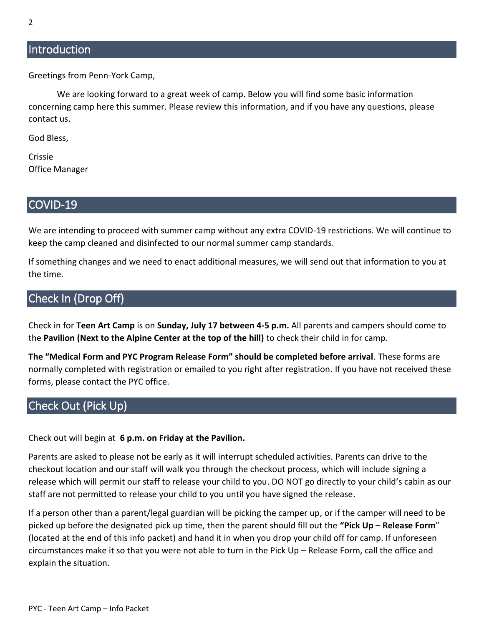## <span id="page-1-0"></span>**Introduction**

Greetings from Penn-York Camp,

We are looking forward to a great week of camp. Below you will find some basic information concerning camp here this summer. Please review this information, and if you have any questions, please contact us.

God Bless,

Crissie Office Manager

## <span id="page-1-1"></span>COVID-19

We are intending to proceed with summer camp without any extra COVID-19 restrictions. We will continue to keep the camp cleaned and disinfected to our normal summer camp standards.

If something changes and we need to enact additional measures, we will send out that information to you at the time.

## <span id="page-1-2"></span>Check In (Drop Off)

Check in for **Teen Art Camp** is on **Sunday, July 17 between 4-5 p.m.** All parents and campers should come to the **Pavilion (Next to the Alpine Center at the top of the hill)** to check their child in for camp.

**The "Medical Form and PYC Program Release Form" should be completed before arrival**. These forms are normally completed with registration or emailed to you right after registration. If you have not received these forms, please contact the PYC office.

# <span id="page-1-3"></span>Check Out (Pick Up)

Check out will begin at **6 p.m. on Friday at the Pavilion.**

Parents are asked to please not be early as it will interrupt scheduled activities. Parents can drive to the checkout location and our staff will walk you through the checkout process, which will include signing a release which will permit our staff to release your child to you. DO NOT go directly to your child's cabin as our staff are not permitted to release your child to you until you have signed the release.

If a person other than a parent/legal guardian will be picking the camper up, or if the camper will need to be picked up before the designated pick up time, then the parent should fill out the **"Pick Up – Release Form**" (located at the end of this info packet) and hand it in when you drop your child off for camp. If unforeseen circumstances make it so that you were not able to turn in the Pick Up – Release Form, call the office and explain the situation.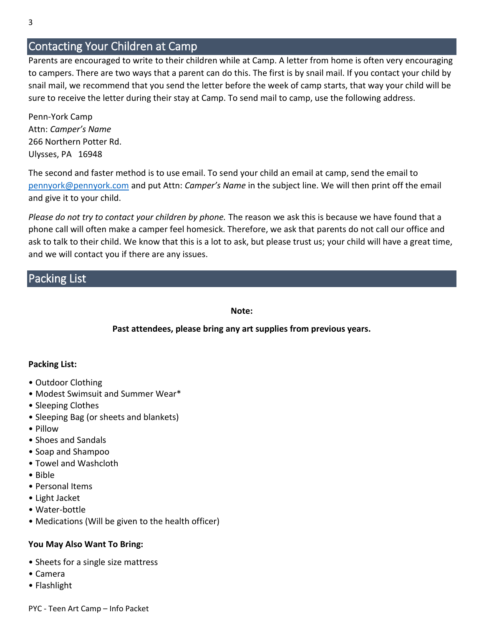# <span id="page-2-0"></span>Contacting Your Children at Camp

Parents are encouraged to write to their children while at Camp. A letter from home is often very encouraging to campers. There are two ways that a parent can do this. The first is by snail mail. If you contact your child by snail mail, we recommend that you send the letter before the week of camp starts, that way your child will be sure to receive the letter during their stay at Camp. To send mail to camp, use the following address.

Penn-York Camp Attn: *Camper's Name* 266 Northern Potter Rd. Ulysses, PA 16948

The second and faster method is to use email. To send your child an email at camp, send the email to [pennyork@pennyork.com](mailto:pennyork@pennyork.com) and put Attn: *Camper's Name* in the subject line. We will then print off the email and give it to your child.

*Please do not try to contact your children by phone.* The reason we ask this is because we have found that a phone call will often make a camper feel homesick. Therefore, we ask that parents do not call our office and ask to talk to their child. We know that this is a lot to ask, but please trust us; your child will have a great time, and we will contact you if there are any issues.

## <span id="page-2-1"></span>Packing List

#### **Note:**

## **Past attendees, please bring any art supplies from previous years.**

### **Packing List:**

- Outdoor Clothing
- Modest Swimsuit and Summer Wear\*
- Sleeping Clothes
- Sleeping Bag (or sheets and blankets)
- Pillow
- Shoes and Sandals
- Soap and Shampoo
- Towel and Washcloth
- Bible
- Personal Items
- Light Jacket
- Water-bottle
- Medications (Will be given to the health officer)

### **You May Also Want To Bring:**

- Sheets for a single size mattress
- Camera
- Flashlight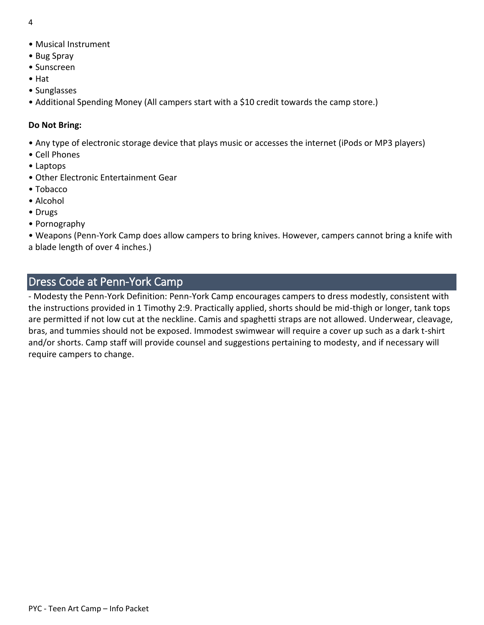- 4
- Musical Instrument
- Bug Spray
- Sunscreen
- Hat
- Sunglasses
- Additional Spending Money (All campers start with a \$10 credit towards the camp store.)

#### **Do Not Bring:**

- Any type of electronic storage device that plays music or accesses the internet (iPods or MP3 players)
- Cell Phones
- Laptops
- Other Electronic Entertainment Gear
- Tobacco
- Alcohol
- Drugs
- Pornography

• Weapons (Penn-York Camp does allow campers to bring knives. However, campers cannot bring a knife with a blade length of over 4 inches.)

## <span id="page-3-0"></span>Dress Code at Penn-York Camp

- Modesty the Penn-York Definition: Penn-York Camp encourages campers to dress modestly, consistent with the instructions provided in 1 Timothy 2:9. Practically applied, shorts should be mid-thigh or longer, tank tops are permitted if not low cut at the neckline. Camis and spaghetti straps are not allowed. Underwear, cleavage, bras, and tummies should not be exposed. Immodest swimwear will require a cover up such as a dark t-shirt and/or shorts. Camp staff will provide counsel and suggestions pertaining to modesty, and if necessary will require campers to change.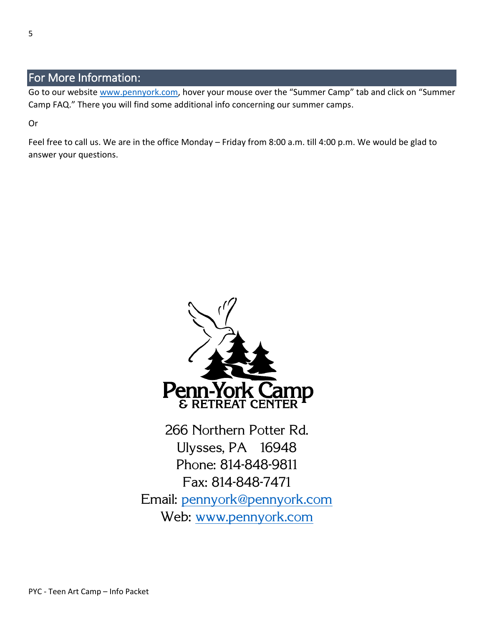# <span id="page-4-0"></span>For More Information:

Go to our website [www.pennyork.com,](http://www.pennyork.com/) hover your mouse over the "Summer Camp" tab and click on "Summer Camp FAQ." There you will find some additional info concerning our summer camps.

Or

Feel free to call us. We are in the office Monday – Friday from 8:00 a.m. till 4:00 p.m. We would be glad to answer your questions.